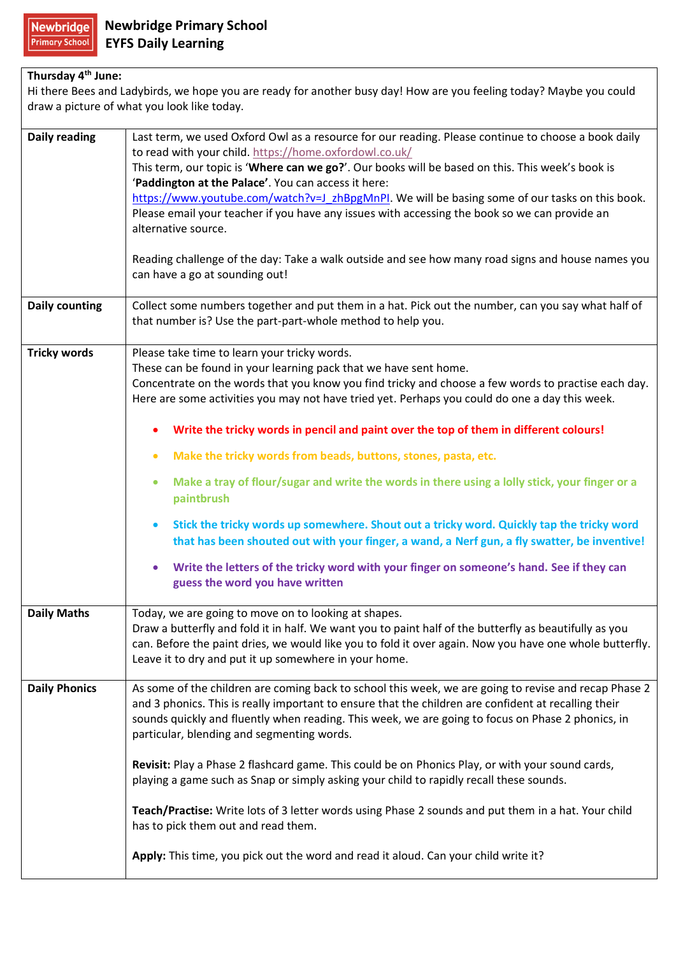## **Thursday 4th June:**

Hi there Bees and Ladybirds, we hope you are ready for another busy day! How are you feeling today? Maybe you could draw a picture of what you look like today.

| <b>Daily reading</b>  | Last term, we used Oxford Owl as a resource for our reading. Please continue to choose a book daily                                      |
|-----------------------|------------------------------------------------------------------------------------------------------------------------------------------|
|                       | to read with your child. https://home.oxfordowl.co.uk/                                                                                   |
|                       | This term, our topic is 'Where can we go?'. Our books will be based on this. This week's book is                                         |
|                       | 'Paddington at the Palace'. You can access it here:                                                                                      |
|                       | https://www.youtube.com/watch?v=J_zhBpgMnPI. We will be basing some of our tasks on this book.                                           |
|                       | Please email your teacher if you have any issues with accessing the book so we can provide an<br>alternative source.                     |
|                       |                                                                                                                                          |
|                       | Reading challenge of the day: Take a walk outside and see how many road signs and house names you<br>can have a go at sounding out!      |
| <b>Daily counting</b> | Collect some numbers together and put them in a hat. Pick out the number, can you say what half of                                       |
|                       | that number is? Use the part-part-whole method to help you.                                                                              |
|                       |                                                                                                                                          |
| <b>Tricky words</b>   | Please take time to learn your tricky words.                                                                                             |
|                       | These can be found in your learning pack that we have sent home.                                                                         |
|                       | Concentrate on the words that you know you find tricky and choose a few words to practise each day.                                      |
|                       | Here are some activities you may not have tried yet. Perhaps you could do one a day this week.                                           |
|                       |                                                                                                                                          |
|                       | Write the tricky words in pencil and paint over the top of them in different colours!                                                    |
|                       | Make the tricky words from beads, buttons, stones, pasta, etc.<br>$\bullet$                                                              |
|                       | Make a tray of flour/sugar and write the words in there using a lolly stick, your finger or a<br>$\bullet$                               |
|                       | paintbrush                                                                                                                               |
|                       |                                                                                                                                          |
|                       | Stick the tricky words up somewhere. Shout out a tricky word. Quickly tap the tricky word<br>$\bullet$                                   |
|                       | that has been shouted out with your finger, a wand, a Nerf gun, a fly swatter, be inventive!                                             |
|                       |                                                                                                                                          |
|                       | Write the letters of the tricky word with your finger on someone's hand. See if they can<br>$\bullet$<br>guess the word you have written |
|                       |                                                                                                                                          |
| <b>Daily Maths</b>    | Today, we are going to move on to looking at shapes.                                                                                     |
|                       | Draw a butterfly and fold it in half. We want you to paint half of the butterfly as beautifully as you                                   |
|                       | can. Before the paint dries, we would like you to fold it over again. Now you have one whole butterfly.                                  |
|                       | Leave it to dry and put it up somewhere in your home.                                                                                    |
|                       |                                                                                                                                          |
| <b>Daily Phonics</b>  | As some of the children are coming back to school this week, we are going to revise and recap Phase 2                                    |
|                       | and 3 phonics. This is really important to ensure that the children are confident at recalling their                                     |
|                       | sounds quickly and fluently when reading. This week, we are going to focus on Phase 2 phonics, in                                        |
|                       | particular, blending and segmenting words.                                                                                               |
|                       |                                                                                                                                          |
|                       | Revisit: Play a Phase 2 flashcard game. This could be on Phonics Play, or with your sound cards,                                         |
|                       | playing a game such as Snap or simply asking your child to rapidly recall these sounds.                                                  |
|                       | Teach/Practise: Write lots of 3 letter words using Phase 2 sounds and put them in a hat. Your child                                      |
|                       | has to pick them out and read them.                                                                                                      |
|                       |                                                                                                                                          |
|                       | Apply: This time, you pick out the word and read it aloud. Can your child write it?                                                      |
|                       |                                                                                                                                          |